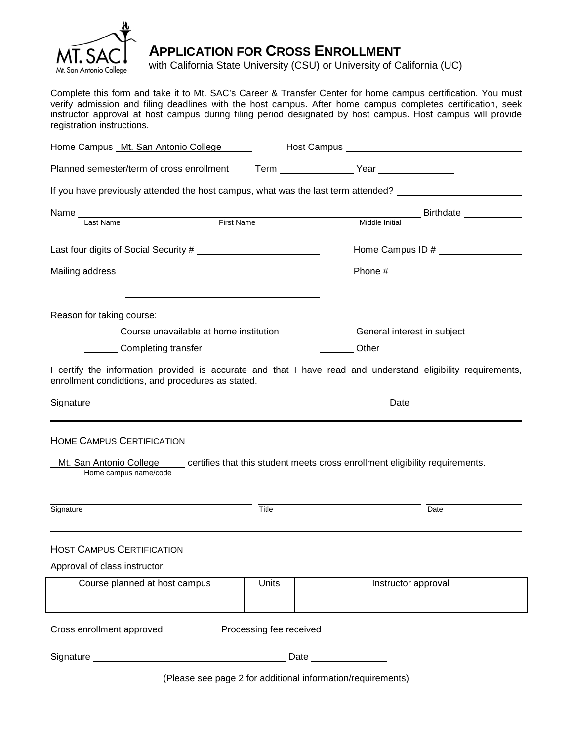

# **APPLICATION FOR CROSS ENROLLMENT**

with California State University (CSU) or University of California (UC)

Complete this form and take it to Mt. SAC's Career & Transfer Center for home campus certification. You must verify admission and filing deadlines with the host campus. After home campus completes certification, seek instructor approval at host campus during filing period designated by host campus. Host campus will provide registration instructions.

| Home Campus Mt. San Antonio College       |                                                   |              | Host Campus New York Campus New York Campus New York Campus New York Campus New York Campus New York Campus New York Campus New York Campus New York Campus New York Campus New York Campus New York Campus New York Campus Ne |                             |  |
|-------------------------------------------|---------------------------------------------------|--------------|--------------------------------------------------------------------------------------------------------------------------------------------------------------------------------------------------------------------------------|-----------------------------|--|
| Planned semester/term of cross enrollment |                                                   |              | Term Year Year                                                                                                                                                                                                                 |                             |  |
|                                           |                                                   |              | If you have previously attended the host campus, what was the last term attended?                                                                                                                                              |                             |  |
|                                           |                                                   |              |                                                                                                                                                                                                                                | Birthdate ___________       |  |
| Last Name                                 | <b>First Name</b>                                 |              | Middle Initial                                                                                                                                                                                                                 |                             |  |
| Last four digits of Social Security #     |                                                   |              |                                                                                                                                                                                                                                |                             |  |
|                                           |                                                   |              |                                                                                                                                                                                                                                |                             |  |
| Reason for taking course:                 |                                                   |              |                                                                                                                                                                                                                                |                             |  |
| Course unavailable at home institution    |                                                   |              |                                                                                                                                                                                                                                | General interest in subject |  |
|                                           | Completing transfer                               |              | <b>Other</b>                                                                                                                                                                                                                   |                             |  |
|                                           | enrollment condidtions, and procedures as stated. |              | I certify the information provided is accurate and that I have read and understand eligibility requirements,                                                                                                                   |                             |  |
|                                           |                                                   |              |                                                                                                                                                                                                                                |                             |  |
|                                           |                                                   |              |                                                                                                                                                                                                                                |                             |  |
|                                           | <b>HOME CAMPUS CERTIFICATION</b>                  |              |                                                                                                                                                                                                                                |                             |  |
|                                           | Home campus name/code                             |              | Mt. San Antonio College certifies that this student meets cross enrollment eligibility requirements.                                                                                                                           |                             |  |
| Signature                                 |                                                   | Title        |                                                                                                                                                                                                                                | Date                        |  |
|                                           |                                                   |              |                                                                                                                                                                                                                                |                             |  |
|                                           | <b>HOST CAMPUS CERTIFICATION</b>                  |              |                                                                                                                                                                                                                                |                             |  |
| Approval of class instructor:             |                                                   |              |                                                                                                                                                                                                                                |                             |  |
|                                           | Course planned at host campus                     | <b>Units</b> | Instructor approval                                                                                                                                                                                                            |                             |  |
|                                           |                                                   |              |                                                                                                                                                                                                                                |                             |  |
|                                           | Cross enrollment approved Processing fee received |              |                                                                                                                                                                                                                                |                             |  |
|                                           |                                                   |              |                                                                                                                                                                                                                                |                             |  |
|                                           |                                                   |              | (Please see page 2 for additional information/requirements)                                                                                                                                                                    |                             |  |